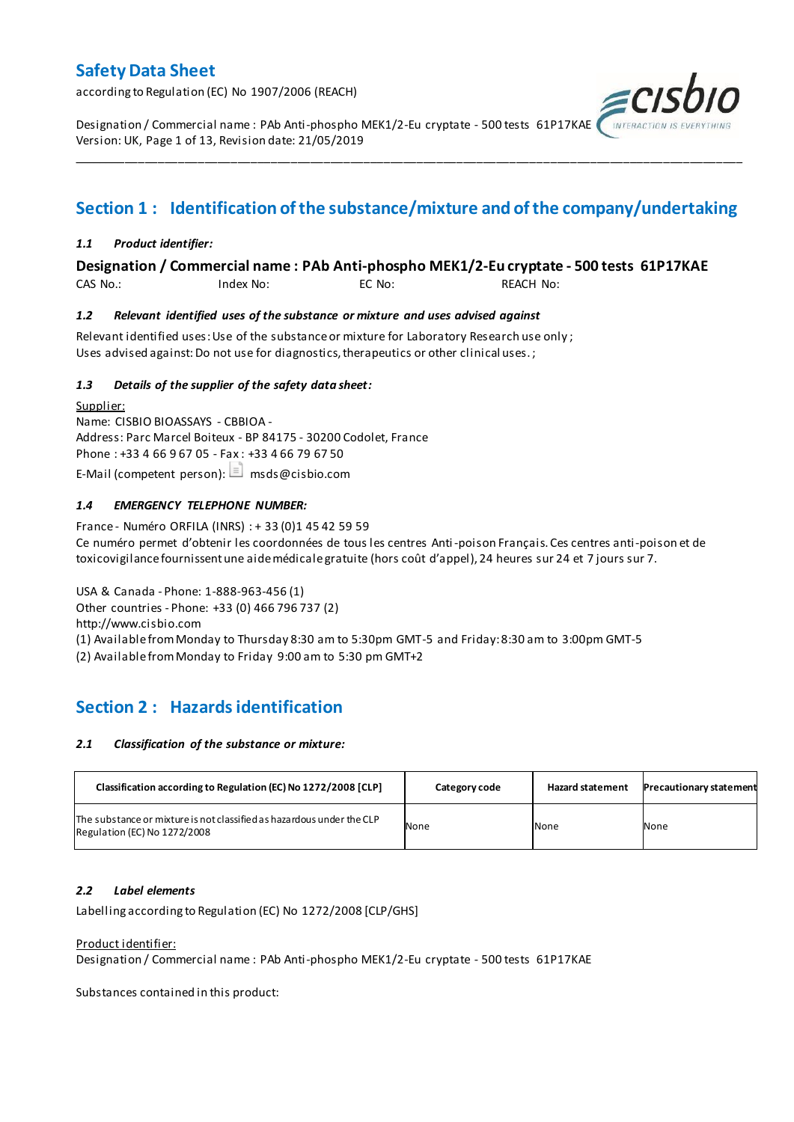according to Regulation (EC) No 1907/2006 (REACH)

Designation / Commercial name : PAb Anti-phospho MEK1/2-Eu cryptate - 500 tests 61P17KAE Version: UK, Page 1 of 13, Revision date: 21/05/2019

## **Section 1 : Identification of the substance/mixture and of the company/undertaking**

\_\_\_\_\_\_\_\_\_\_\_\_\_\_\_\_\_\_\_\_\_\_\_\_\_\_\_\_\_\_\_\_\_\_\_\_\_\_\_\_\_\_\_\_\_\_\_\_\_\_\_\_\_\_\_\_\_\_\_\_\_\_\_\_\_\_\_\_\_\_\_\_\_\_\_\_\_\_\_\_\_\_\_\_\_\_\_\_\_\_\_\_\_\_\_\_\_\_\_\_\_

#### *1.1 Product identifier:*

#### **Designation / Commercial name : PAb Anti-phospho MEK1/2-Eu cryptate - 500 tests 61P17KAE**

CAS No.: Index No: EC No: REACH No:

#### *1.2 Relevant identified uses of the substance or mixture and uses advised against*

Relevant identified uses: Use of the substance or mixture for Laboratory Research use only ; Uses advised against: Do not use for diagnostics, therapeutics or other clinical uses.;

#### *1.3 Details of the supplier of the safety data sheet:*

Supplier: Name: CISBIO BIOASSAYS - CBBIOA - Address: Parc Marcel Boiteux - BP 84175 - 30200 Codolet, France Phone : +33 4 66 9 67 05 - Fax : +33 4 66 79 67 50 E-Mail (competent person):  $\Box$  msds@cisbio.com

#### *1.4 EMERGENCY TELEPHONE NUMBER:*

France - Numéro ORFILA (INRS) : + 33 (0)1 45 42 59 59 Ce numéro permet d'obtenir les coordonnées de tous les centres Anti-poison Français. Ces centres anti-poison et de toxicovigilance fournissent une aide médicale gratuite (hors coût d'appel), 24 heures sur 24 et 7 jours sur 7.

USA & Canada - Phone: 1-888-963-456 (1) Other countries - Phone: +33 (0) 466 796 737 (2) http://www.cisbio.com (1) Available from Monday to Thursday 8:30 am to 5:30pm GMT-5 and Friday: 8:30 am to 3:00pm GMT-5

(2) Available from Monday to Friday 9:00 am to 5:30 pm GMT+2

## **Section 2 : Hazards identification**

#### *2.1 Classification of the substance or mixture:*

| Classification according to Regulation (EC) No 1272/2008 [CLP]                                        | Category code | <b>Hazard statement</b> | <b>Precautionary statement</b> |
|-------------------------------------------------------------------------------------------------------|---------------|-------------------------|--------------------------------|
| The substance or mixture is not classified as hazardous under the CLP<br>Regulation (EC) No 1272/2008 | None          | None                    | None                           |

#### *2.2 Label elements*

Labelling according to Regulation (EC) No 1272/2008 [CLP/GHS]

#### Product identifier:

Designation / Commercial name : PAb Anti-phospho MEK1/2-Eu cryptate - 500 tests 61P17KAE

Substances contained in this product: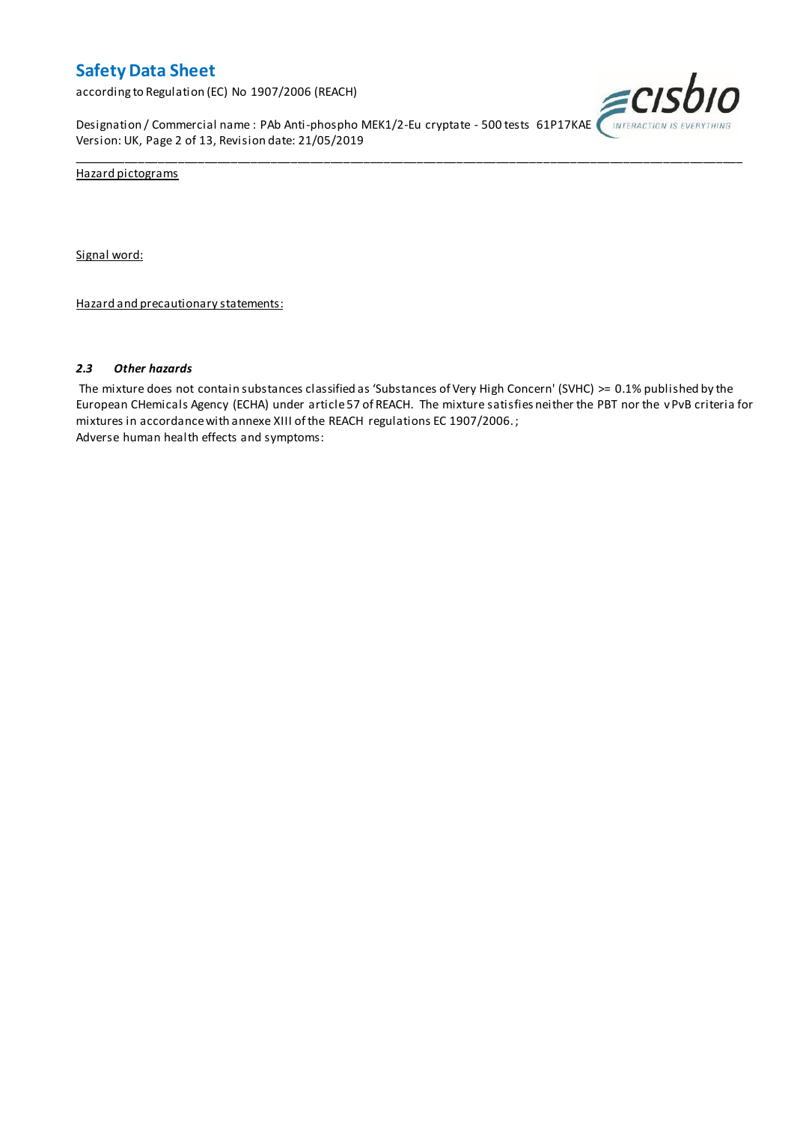according to Regulation (EC) No 1907/2006 (REACH)

Designation / Commercial name : PAb Anti-phospho MEK1/2-Eu cryptate - 500 tests 61P17KAE *(INTERACTION IS EVERYTHING* Version: UK, Page 2 of 13, Revision date: 21/05/2019



Hazard pictograms

Signal word:

Hazard and precautionary statements:

#### *2.3 Other hazards*

The mixture does not contain substances classified as 'Substances of Very High Concern' (SVHC) >= 0.1% published by the European CHemicals Agency (ECHA) under article 57 of REACH. The mixture satisfies neither the PBT nor the vPvB criteria for mixtures in accordance with annexe XIII of the REACH regulations EC 1907/2006. ; Adverse human health effects and symptoms:

\_\_\_\_\_\_\_\_\_\_\_\_\_\_\_\_\_\_\_\_\_\_\_\_\_\_\_\_\_\_\_\_\_\_\_\_\_\_\_\_\_\_\_\_\_\_\_\_\_\_\_\_\_\_\_\_\_\_\_\_\_\_\_\_\_\_\_\_\_\_\_\_\_\_\_\_\_\_\_\_\_\_\_\_\_\_\_\_\_\_\_\_\_\_\_\_\_\_\_\_\_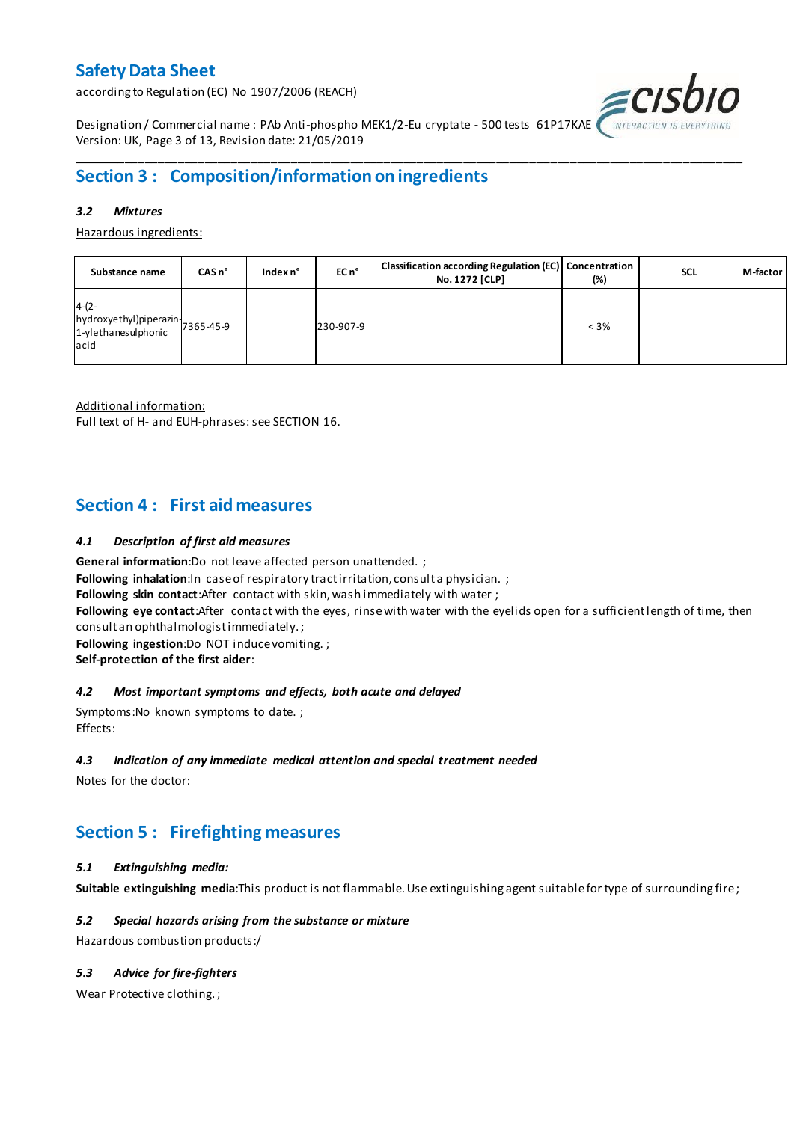according to Regulation (EC) No 1907/2006 (REACH)



Designation / Commercial name : PAb Anti-phospho MEK1/2-Eu cryptate - 500 tests 61P17KAE Version: UK, Page 3 of 13, Revision date: 21/05/2019

## **Section 3 : Composition/information on ingredients**

#### *3.2 Mixtures*

Hazardous ingredients:

| Substance name                                                                 | CASn <sup>o</sup> | Index n° | EC n <sup>o</sup> | Classification according Regulation (EC) Concentration<br>No. 1272 [CLP] | (%)     | <b>SCL</b> | M-factor |
|--------------------------------------------------------------------------------|-------------------|----------|-------------------|--------------------------------------------------------------------------|---------|------------|----------|
| $4-(2-$<br>hydroxyethyl)piperazin<br>7365-45-9<br>1-ylethanesulphonic<br>lacid |                   |          | 230-907-9         |                                                                          | $< 3\%$ |            |          |

\_\_\_\_\_\_\_\_\_\_\_\_\_\_\_\_\_\_\_\_\_\_\_\_\_\_\_\_\_\_\_\_\_\_\_\_\_\_\_\_\_\_\_\_\_\_\_\_\_\_\_\_\_\_\_\_\_\_\_\_\_\_\_\_\_\_\_\_\_\_\_\_\_\_\_\_\_\_\_\_\_\_\_\_\_\_\_\_\_\_\_\_\_\_\_\_\_\_\_\_\_

Additional information:

Full text of H- and EUH-phrases: see SECTION 16.

### **Section 4 : First aid measures**

#### *4.1 Description of first aid measures*

**General information**:Do not leave affected person unattended. ;

**Following inhalation:**In case of respiratory tractirritation, consult a physician. ;

**Following skin contact**:After contact with skin, wash immediately with water ;

**Following eye contact**:After contact with the eyes, rinse with water with the eyelids open for a sufficient length of time, then consult an ophthalmologist immediately. ;

**Following ingestion**:Do NOT induce vomiting. ;

**Self-protection of the first aider**:

#### *4.2 Most important symptoms and effects, both acute and delayed*

Symptoms:No known symptoms to date. ; Effects:

#### *4.3 Indication of any immediate medical attention and special treatment needed*

Notes for the doctor:

## **Section 5 : Firefighting measures**

#### *5.1 Extinguishing media:*

**Suitable extinguishing media**:This product is not flammable. Use extinguishing agent suitable for type of surrounding fire ;

#### *5.2 Special hazards arising from the substance or mixture*

Hazardous combustion products:/

#### *5.3 Advice for fire-fighters*

Wear Protective clothing. ;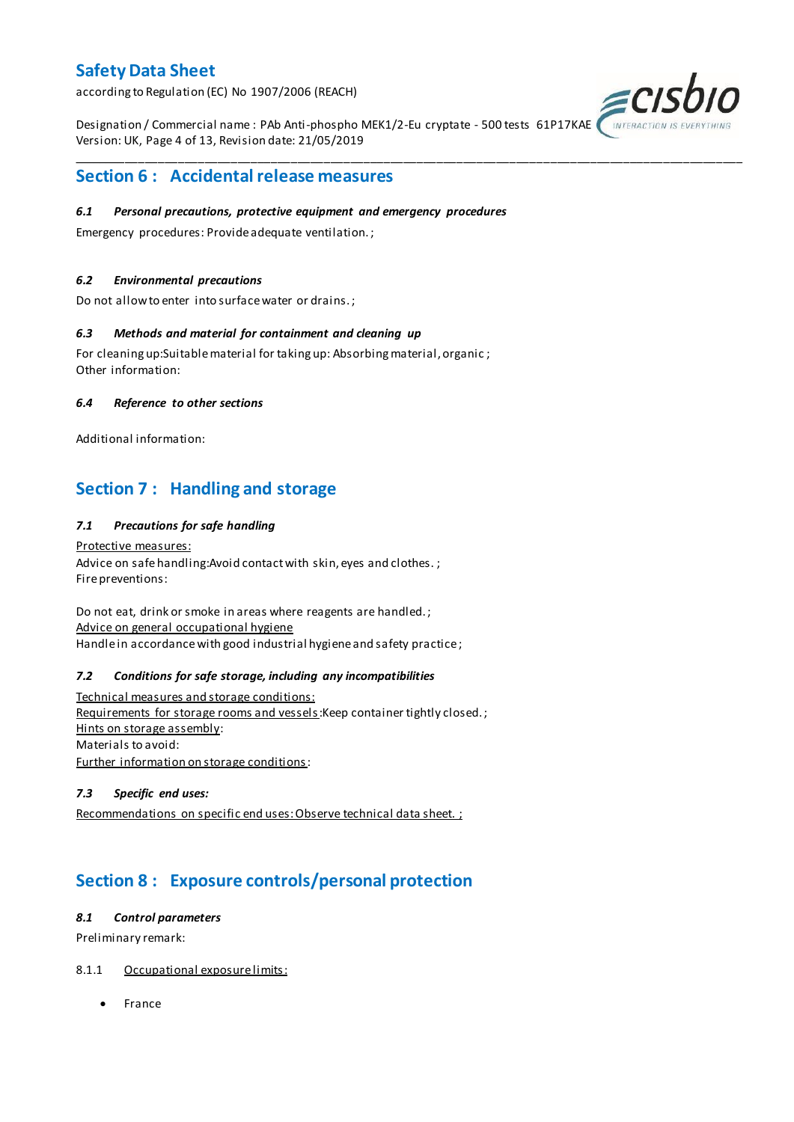according to Regulation (EC) No 1907/2006 (REACH)

Designation / Commercial name : PAb Anti-phospho MEK1/2-Eu cryptate - 500 tests 61P17KAE Version: UK, Page 4 of 13, Revision date: 21/05/2019

\_\_\_\_\_\_\_\_\_\_\_\_\_\_\_\_\_\_\_\_\_\_\_\_\_\_\_\_\_\_\_\_\_\_\_\_\_\_\_\_\_\_\_\_\_\_\_\_\_\_\_\_\_\_\_\_\_\_\_\_\_\_\_\_\_\_\_\_\_\_\_\_\_\_\_\_\_\_\_\_\_\_\_\_\_\_\_\_\_\_\_\_\_\_\_\_\_\_\_\_\_



### **Section 6 : Accidental release measures**

#### *6.1 Personal precautions, protective equipment and emergency procedures*

Emergency procedures: Provide adequate ventilation. ;

#### *6.2 Environmental precautions*

Do not allow to enter into surface water or drains. ;

#### *6.3 Methods and material for containment and cleaning up*

For cleaning up:Suitable material for taking up: Absorbing material, organic ; Other information:

#### *6.4 Reference to other sections*

Additional information:

## **Section 7 : Handling and storage**

#### *7.1 Precautions for safe handling*

Protective measures: Advice on safe handling: Avoid contact with skin, eyes and clothes.; Fire preventions:

Do not eat, drink or smoke in areas where reagents are handled. ; Advice on general occupational hygiene Handle in accordance with good industrial hygiene and safety practice;

#### *7.2 Conditions for safe storage, including any incompatibilities*

Technical measures and storage conditions: Requirements for storage rooms and vessels: Keep container tightly closed.; Hints on storage assembly: Materials to avoid: Further information on storage conditions:

#### *7.3 Specific end uses:*

Recommendations on specific end uses: Observe technical data sheet. ;

## **Section 8 : Exposure controls/personal protection**

#### *8.1 Control parameters*

Preliminary remark:

#### 8.1.1 Occupational exposure limits:

• France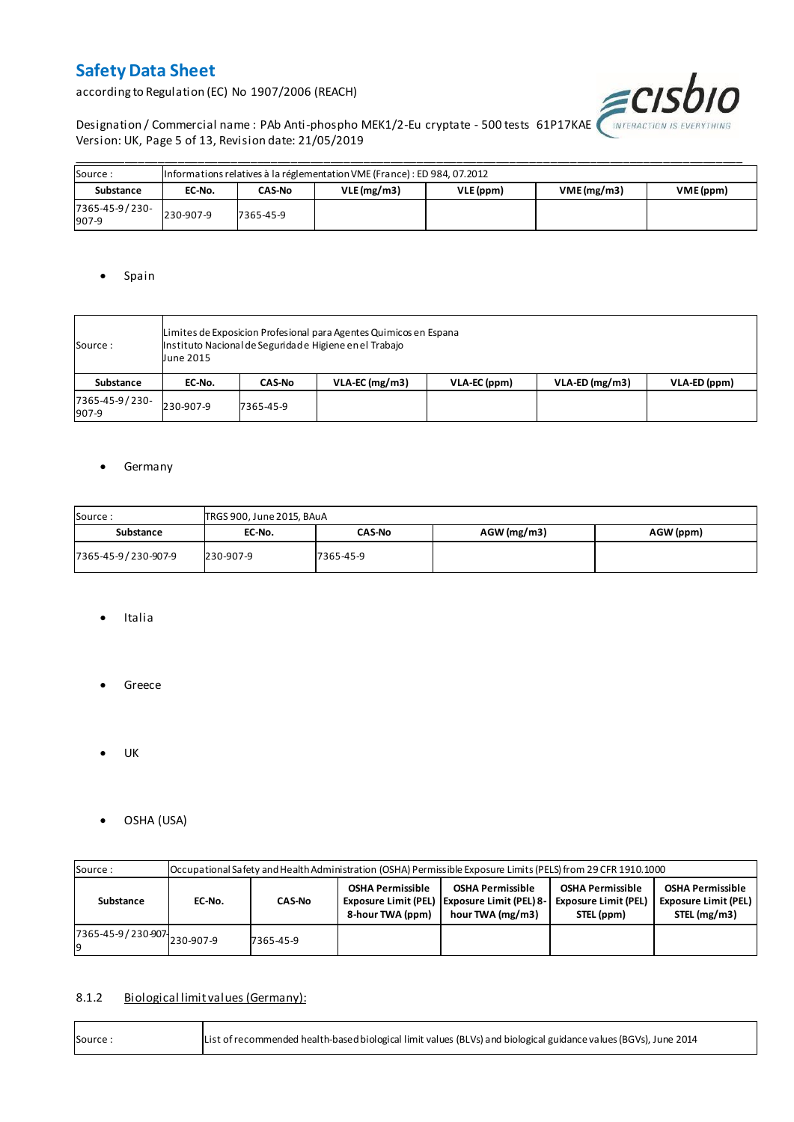according to Regulation (EC) No 1907/2006 (REACH)



Designation / Commercial name : PAb Anti-phospho MEK1/2-Eu cryptate - 500 tests 61P17KAE WITERACTION IS EVERYTHING Version: UK, Page 5 of 13, Revision date: 21/05/2019

| Source:                 | Informations relatives à la réglementation VME (France) : ED 984, 07.2012 |           |            |           |            |           |  |  |  |  |  |  |
|-------------------------|---------------------------------------------------------------------------|-----------|------------|-----------|------------|-----------|--|--|--|--|--|--|
| Substance               | EC-No.                                                                    | CAS-No    | VLE(mg/m3) | VLE (ppm) | VME(mg/m3) | VME (ppm) |  |  |  |  |  |  |
| 7365-45-9/230-<br>907-9 | 230-907-9                                                                 | 7365-45-9 |            |           |            |           |  |  |  |  |  |  |

#### • Spain

| Source:                 | Limites de Exposicion Profesional para Agentes Quimicos en Espana<br>Instituto Nacional de Seguridade Higiene en el Trabajo<br>June 2015 |               |                  |              |                  |              |  |  |  |  |
|-------------------------|------------------------------------------------------------------------------------------------------------------------------------------|---------------|------------------|--------------|------------------|--------------|--|--|--|--|
| <b>Substance</b>        | EC-No.                                                                                                                                   | <b>CAS-No</b> | $VLA-EC$ (mg/m3) | VLA-EC (ppm) | $VLA-ED (mg/m3)$ | VLA-ED (ppm) |  |  |  |  |
| 7365-45-9/230-<br>907-9 | 230-907-9                                                                                                                                | 7365-45-9     |                  |              |                  |              |  |  |  |  |

#### **•** Germany

| Source:<br>TRGS 900, June 2015, BAuA |           |               |               |           |  |  |  |  |  |  |
|--------------------------------------|-----------|---------------|---------------|-----------|--|--|--|--|--|--|
| Substance                            | EC-No.    | <b>CAS-No</b> | $AGW$ (mg/m3) | AGW (ppm) |  |  |  |  |  |  |
| 7365-45-9/230-907-9                  | 230-907-9 | 7365-45-9     |               |           |  |  |  |  |  |  |

- Italia
- **•** Greece
- $\bullet$  UK
- OSHA (USA)

| Source:                     |        | Occupational Safety and Health Administration (OSHA) Permissible Exposure Limits (PELS) from 29 CFR 1910.1000 |                                             |                                                                                               |                                                                      |                                                                   |  |  |  |  |  |  |
|-----------------------------|--------|---------------------------------------------------------------------------------------------------------------|---------------------------------------------|-----------------------------------------------------------------------------------------------|----------------------------------------------------------------------|-------------------------------------------------------------------|--|--|--|--|--|--|
| Substance                   | EC-No. | <b>CAS-No</b>                                                                                                 | <b>OSHA Permissible</b><br>8-hour TWA (ppm) | <b>OSHA Permissible</b><br>Exposure Limit (PEL)   Exposure Limit (PEL) 8-<br>hour TWA (mg/m3) | <b>OSHA Permissible</b><br><b>Exposure Limit (PEL)</b><br>STEL (ppm) | <b>OSHA Permissible</b><br>Exposure Limit (PEL)  <br>STEL (mg/m3) |  |  |  |  |  |  |
| 7365-45-9/230-907 230-907-9 |        | 7365-45-9                                                                                                     |                                             |                                                                                               |                                                                      |                                                                   |  |  |  |  |  |  |

#### 8.1.2 Biological limit values (Germany):

| List of recommended health-based biological limit values (BLVs) and biological guidance values (BGVs), June 2014<br>Source: |
|-----------------------------------------------------------------------------------------------------------------------------|
|-----------------------------------------------------------------------------------------------------------------------------|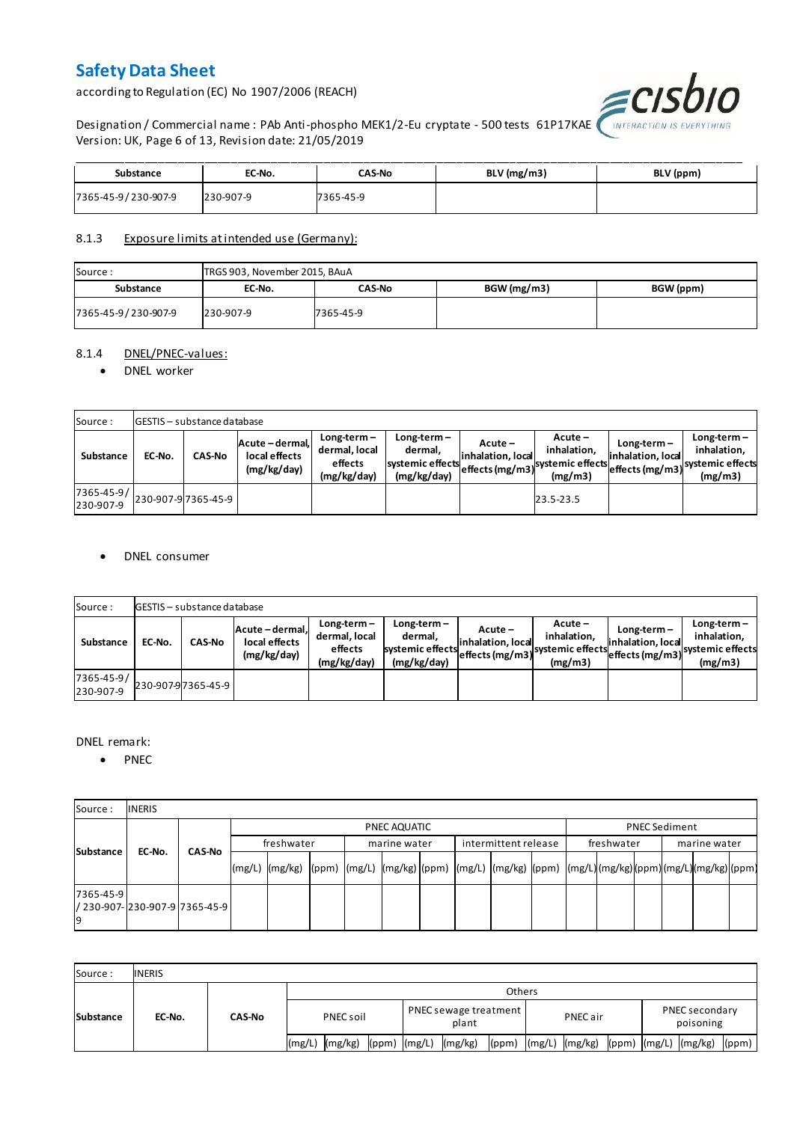according to Regulation (EC) No 1907/2006 (REACH)



Designation / Commercial name : PAb Anti-phospho MEK1/2-Eu cryptate - 500 tests 61P17KAE Version: UK, Page 6 of 13, Revision date: 21/05/2019

| Substance           | EC-No.    | CAS-No    | BLV (mg/m3) | BLV (ppm) |
|---------------------|-----------|-----------|-------------|-----------|
| 7365-45-9/230-907-9 | 230-907-9 | 7365-45-9 |             |           |

#### 8.1.3 Exposure limits at intended use (Germany):

| Source:             | TRGS 903, November 2015, BAuA |           |             |           |  |  |  |  |  |  |
|---------------------|-------------------------------|-----------|-------------|-----------|--|--|--|--|--|--|
| Substance           | EC-No.                        | CAS-No    | BGW (mg/m3) | BGW (ppm) |  |  |  |  |  |  |
| 7365-45-9/230-907-9 | 230-907-9                     | 7365-45-9 |             |           |  |  |  |  |  |  |

#### 8.1.4 DNEL/PNEC-values:

#### • DNEL worker

| Source:                 |        | <b>GESTIS</b> - substance database |                                                 |                                                          |                                                           |                                 |                                                                            |                                    |                                                                                 |
|-------------------------|--------|------------------------------------|-------------------------------------------------|----------------------------------------------------------|-----------------------------------------------------------|---------------------------------|----------------------------------------------------------------------------|------------------------------------|---------------------------------------------------------------------------------|
| Substance               | EC-No. | <b>CAS-No</b>                      | Acute - dermal,<br>local effects<br>(mg/kg/day) | $Long-term -$<br>dermal, local<br>effects<br>(mg/kg/day) | Long-term –<br>dermal.<br>systemic effects<br>(mg/kg/day) | $Acute -$<br>linhalation. local | $Acute -$<br>inhalation.<br>vuleffects (mg/m3) systemic effects<br>(mg/m3) | $Long-term -$<br>inhalation, local | $Long-term -$<br>inhalation.<br>~~ leffects (mg/m3) systemic effects<br>(mg/m3) |
| 7365-45-9/<br>230-907-9 |        | 230-907-97365-45-9                 |                                                 |                                                          |                                                           |                                 | 23.5-23.5                                                                  |                                    |                                                                                 |

#### DNEL consumer

| Source:                       |        | GESTIS - substance database |                                               |                                                          |                                                             |                              |                                                                           |                                  |                                                                              |  |  |  |  |  |
|-------------------------------|--------|-----------------------------|-----------------------------------------------|----------------------------------------------------------|-------------------------------------------------------------|------------------------------|---------------------------------------------------------------------------|----------------------------------|------------------------------------------------------------------------------|--|--|--|--|--|
| Substance                     | EC-No. | <b>CAS-No</b>               | Acute-dermal.<br>local effects<br>(mg/kg/day) | $Long-term -$<br>dermal, local<br>effects<br>(mg/kg/day) | $Long-term -$<br>dermal,<br>systemic effects<br>(mg/kg/day) | Acute –<br>inhalation, local | $Acute -$<br>inhalation.<br>"leffects (mg/m3) systemic effects<br>(mg/m3) | Long-term –<br>inhalation, local | $Long-term -$<br>inhalation.<br>weffects (mg/m3) systemic effects<br>(mg/m3) |  |  |  |  |  |
| $7365 - 45 - 9/$<br>230-907-9 |        | 230-907-97365-45-9          |                                               |                                                          |                                                             |                              |                                                                           |                                  |                                                                              |  |  |  |  |  |

#### DNEL remark:

• PNEC

| Source:         | <b>INERIS</b>                  |               |            |                                                                                                                  |  |  |              |  |                      |  |            |  |                      |  |  |
|-----------------|--------------------------------|---------------|------------|------------------------------------------------------------------------------------------------------------------|--|--|--------------|--|----------------------|--|------------|--|----------------------|--|--|
| Substance       |                                |               |            | PNEC AQUATIC                                                                                                     |  |  |              |  |                      |  |            |  | <b>PNEC Sediment</b> |  |  |
|                 | EC-No.                         | <b>CAS-No</b> | freshwater |                                                                                                                  |  |  | marine water |  | intermittent release |  | freshwater |  | marine water         |  |  |
|                 |                                |               |            | (mg/L)  (mg/kg)  (ppm)  (mg/L)  (mg/kg) (ppm)  (mg/L)  (mg/kg)  (ppm)  (mg/L) (mg/kg) (ppm) (mg/L) (mg/kg) (ppm) |  |  |              |  |                      |  |            |  |                      |  |  |
| 7365-45-9<br>19 | / 230-907- 230-907-9 7365-45-9 |               |            |                                                                                                                  |  |  |              |  |                      |  |            |  |                      |  |  |

| Source:          | <b>INERIS</b> |               |                    |                                      |                |                               |  |  |  |  |  |
|------------------|---------------|---------------|--------------------|--------------------------------------|----------------|-------------------------------|--|--|--|--|--|
| <b>Substance</b> | EC-No.        | <b>CAS-No</b> | <b>Others</b>      |                                      |                |                               |  |  |  |  |  |
|                  |               |               | PNEC soil          | PNEC sewage treatment<br>plant       | PNEC air       | PNEC secondary<br>poisoning   |  |  |  |  |  |
|                  |               |               | (mg/kg)<br>l(mg/L) | (mg/kg)<br>$(ppm)$ $(mg/L)$<br>(ppm) | (mg/L) (mg/kg) | (ppm) (mg/L) (mg/kg)<br>(ppm) |  |  |  |  |  |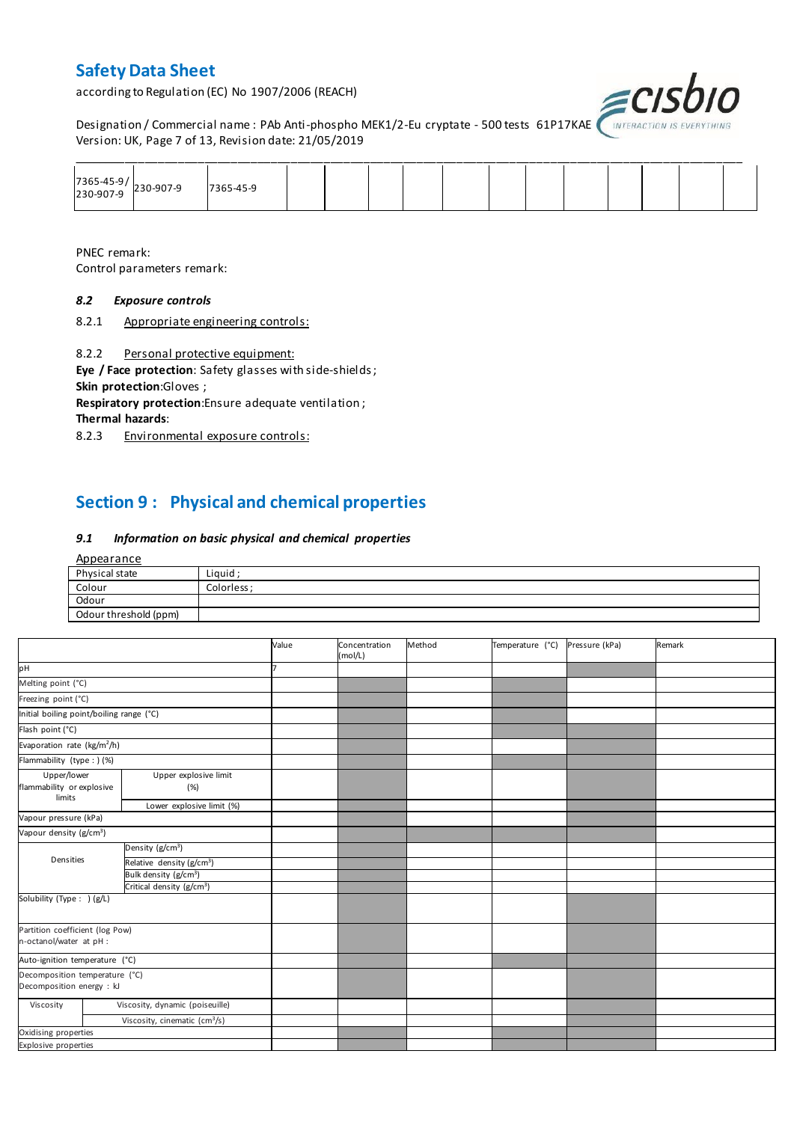according to Regulation (EC) No 1907/2006 (REACH)



Designation / Commercial name : PAb Anti-phospho MEK1/2-Eu cryptate - 500 tests 61P17KAE *(INTERACTION IS L* Version: UK, Page 7 of 13, Revision date: 21/05/2019

| 7365-45-9/<br>230-907-9 230-907-9 | 7365-45-9 |  |  |  |  |  |  |
|-----------------------------------|-----------|--|--|--|--|--|--|

PNEC remark: Control parameters remark:

#### *8.2 Exposure controls*

8.2.1 Appropriate engineering controls:

8.2.2 Personal protective equipment:

**Eye / Face protection**: Safety glasses with side-shields ; **Skin protection**:Gloves ;

**Respiratory protection**:Ensure adequate ventilation ;

**Thermal hazards**:

8.2.3 Environmental exposure controls:

## **Section 9 : Physical and chemical properties**

#### *9.1 Information on basic physical and chemical properties*

| <u>Appearance</u>     |             |
|-----------------------|-------------|
| Physical state        | Liquid;     |
| Colour                | Colorless ; |
| Odour                 |             |
| Odour threshold (ppm) |             |

|                                                             |                                           | Value | Concentration<br>(mol/L) | Method | Temperature (°C) | Pressure (kPa) | Remark |
|-------------------------------------------------------------|-------------------------------------------|-------|--------------------------|--------|------------------|----------------|--------|
| pH                                                          |                                           |       |                          |        |                  |                |        |
| Melting point (°C)                                          |                                           |       |                          |        |                  |                |        |
| Freezing point (°C)                                         |                                           |       |                          |        |                  |                |        |
| Initial boiling point/boiling range (°C)                    |                                           |       |                          |        |                  |                |        |
| Flash point (°C)                                            |                                           |       |                          |        |                  |                |        |
| Evaporation rate (kg/m <sup>2</sup> /h)                     |                                           |       |                          |        |                  |                |        |
| Flammability (type : ) (%)                                  |                                           |       |                          |        |                  |                |        |
| Upper/lower<br>flammability or explosive<br>limits          | Upper explosive limit<br>(%)              |       |                          |        |                  |                |        |
|                                                             | Lower explosive limit (%)                 |       |                          |        |                  |                |        |
| Vapour pressure (kPa)                                       |                                           |       |                          |        |                  |                |        |
| Vapour density (g/cm <sup>3</sup> )                         |                                           |       |                          |        |                  |                |        |
|                                                             | Density (g/cm <sup>3</sup> )              |       |                          |        |                  |                |        |
| Densities                                                   | Relative density (g/cm <sup>3</sup> )     |       |                          |        |                  |                |        |
|                                                             | Bulk density (g/cm <sup>3</sup> )         |       |                          |        |                  |                |        |
|                                                             | Critical density (g/cm <sup>3</sup> )     |       |                          |        |                  |                |        |
| Solubility (Type: ) (g/L)                                   |                                           |       |                          |        |                  |                |        |
| Partition coefficient (log Pow)<br>n-octanol/water at pH :  |                                           |       |                          |        |                  |                |        |
| Auto-ignition temperature (°C)                              |                                           |       |                          |        |                  |                |        |
| Decomposition temperature (°C)<br>Decomposition energy : kJ |                                           |       |                          |        |                  |                |        |
| Viscosity                                                   | Viscosity, dynamic (poiseuille)           |       |                          |        |                  |                |        |
|                                                             | Viscosity, cinematic (cm <sup>3</sup> /s) |       |                          |        |                  |                |        |
| Oxidising properties                                        |                                           |       |                          |        |                  |                |        |
| Explosive properties                                        |                                           |       |                          |        |                  |                |        |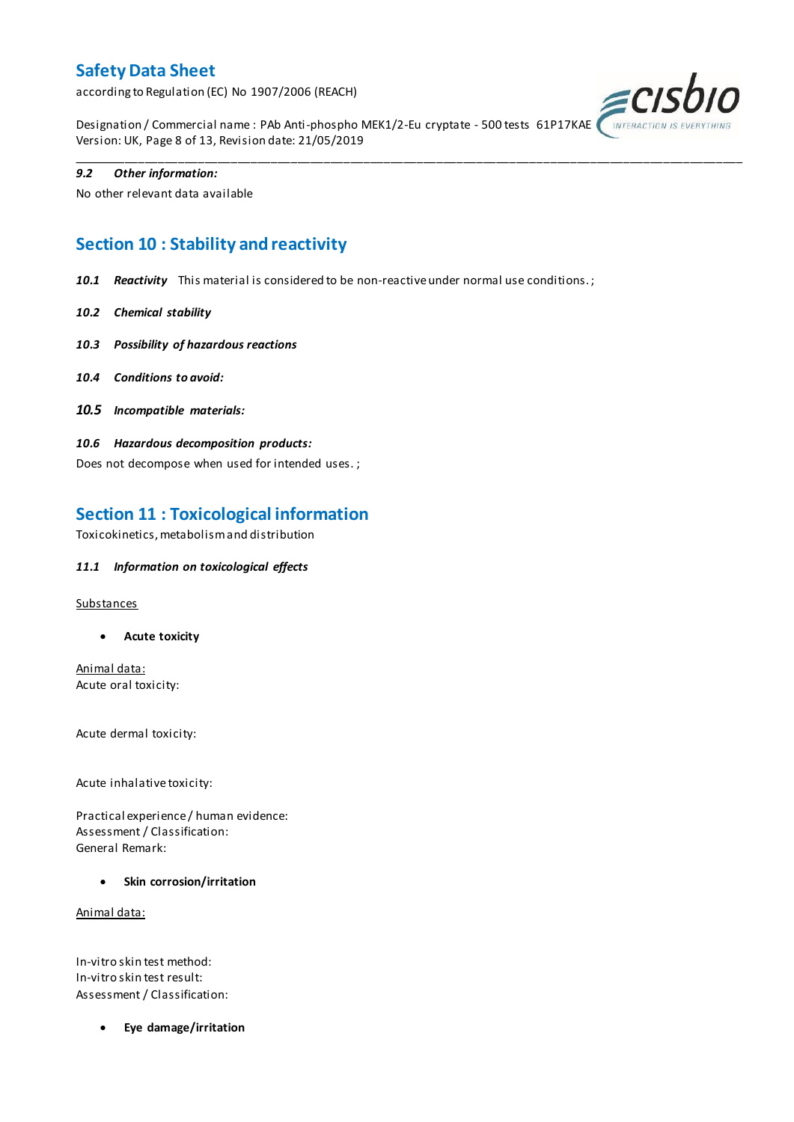according to Regulation (EC) No 1907/2006 (REACH)



Designation / Commercial name : PAb Anti-phospho MEK1/2-Eu cryptate - 500 tests 61P17KAE Version: UK, Page 8 of 13, Revision date: 21/05/2019

\_\_\_\_\_\_\_\_\_\_\_\_\_\_\_\_\_\_\_\_\_\_\_\_\_\_\_\_\_\_\_\_\_\_\_\_\_\_\_\_\_\_\_\_\_\_\_\_\_\_\_\_\_\_\_\_\_\_\_\_\_\_\_\_\_\_\_\_\_\_\_\_\_\_\_\_\_\_\_\_\_\_\_\_\_\_\_\_\_\_\_\_\_\_\_\_\_\_\_\_\_

#### *9.2 Other information:*

No other relevant data available

## **Section 10 : Stability and reactivity**

*10.1 Reactivity* This material is considered to be non-reactive under normal use conditions. ;

- *10.2 Chemical stability*
- *10.3 Possibility of hazardous reactions*
- *10.4 Conditions to avoid:*
- *10.5 Incompatible materials:*
- *10.6 Hazardous decomposition products:*

Does not decompose when used for intended uses. ;

### **Section 11 : Toxicological information**

Toxicokinetics, metabolism and distribution

#### *11.1 Information on toxicological effects*

#### **Substances**

**Acute toxicity**

Animal data: Acute oral toxicity:

Acute dermal toxicity:

Acute inhalative toxicity:

Practical experience / human evidence: Assessment / Classification: General Remark:

**Skin corrosion/irritation**

Animal data:

In-vitro skin test method: In-vitro skin test result: Assessment / Classification:

**Eye damage/irritation**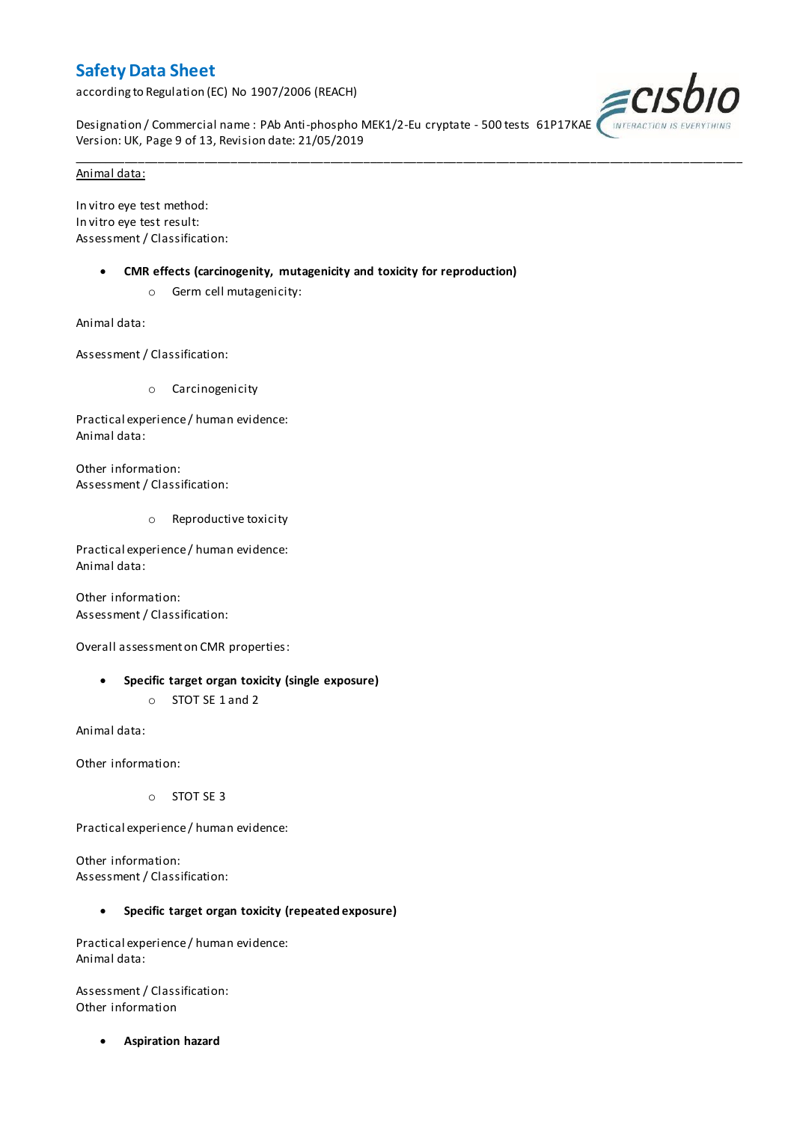according to Regulation (EC) No 1907/2006 (REACH)



Designation / Commercial name : PAb Anti-phospho MEK1/2-Eu cryptate - 500 tests 61P17KAE Version: UK, Page 9 of 13, Revision date: 21/05/2019

\_\_\_\_\_\_\_\_\_\_\_\_\_\_\_\_\_\_\_\_\_\_\_\_\_\_\_\_\_\_\_\_\_\_\_\_\_\_\_\_\_\_\_\_\_\_\_\_\_\_\_\_\_\_\_\_\_\_\_\_\_\_\_\_\_\_\_\_\_\_\_\_\_\_\_\_\_\_\_\_\_\_\_\_\_\_\_\_\_\_\_\_\_\_\_\_\_\_\_\_\_

#### Animal data:

In vitro eye test method: In vitro eye test result: Assessment / Classification:

- **CMR effects (carcinogenity, mutagenicity and toxicity for reproduction)**
	- o Germ cell mutagenicity:

Animal data:

Assessment / Classification:

o Carcinogenicity

Practical experience / human evidence: Animal data:

Other information: Assessment / Classification:

o Reproductive toxicity

Practical experience / human evidence: Animal data:

Other information: Assessment / Classification:

Overall assessment on CMR properties:

- **Specific target organ toxicity (single exposure)**
	- o STOT SE 1 and 2

Animal data:

Other information:

o STOT SE 3

Practical experience / human evidence:

Other information: Assessment / Classification:

#### **Specific target organ toxicity (repeated exposure)**

Practical experience / human evidence: Animal data:

Assessment / Classification: Other information

**Aspiration hazard**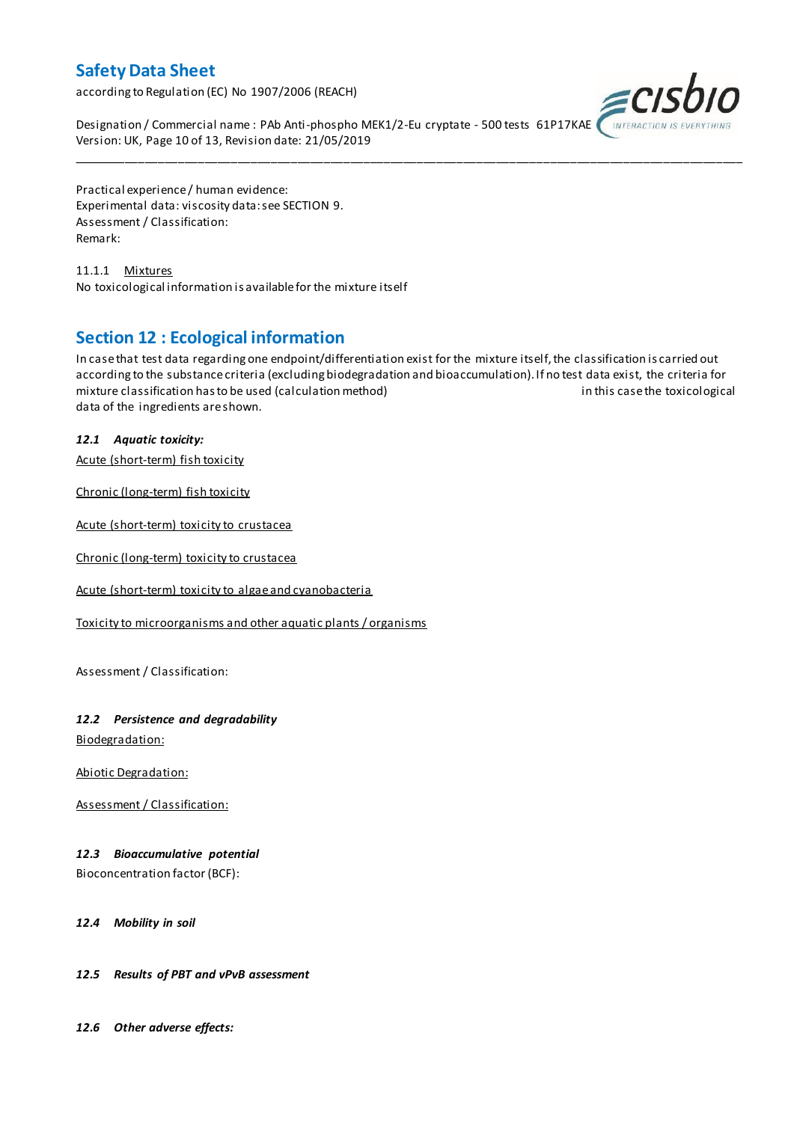according to Regulation (EC) No 1907/2006 (REACH)



Designation / Commercial name : PAb Anti-phospho MEK1/2-Eu cryptate - 500 tests 61P17KAE Version: UK, Page 10 of 13, Revision date: 21/05/2019

Practical experience / human evidence: Experimental data: viscosity data: see SECTION 9. Assessment / Classification: Remark:

11.1.1 Mixtures No toxicological information is available for the mixture itself

### **Section 12 : Ecological information**

In case that test data regarding one endpoint/differentiation exist for the mixture itself, the classification is carried out according to the substance criteria (excluding biodegradation and bioaccumulation). If no test data exist, the criteria for mixture classification has to be used (calculation method) in this case the toxicological data of the ingredients are shown.

\_\_\_\_\_\_\_\_\_\_\_\_\_\_\_\_\_\_\_\_\_\_\_\_\_\_\_\_\_\_\_\_\_\_\_\_\_\_\_\_\_\_\_\_\_\_\_\_\_\_\_\_\_\_\_\_\_\_\_\_\_\_\_\_\_\_\_\_\_\_\_\_\_\_\_\_\_\_\_\_\_\_\_\_\_\_\_\_\_\_\_\_\_\_\_\_\_\_\_\_\_

#### *12.1 Aquatic toxicity:*

Acute (short-term) fish toxicity

Chronic (long-term) fish toxicity

Acute (short-term) toxicity to crustacea

Chronic (long-term) toxicity to crustacea

Acute (short-term) toxicity to algae and cyanobacteria

Toxicity to microorganisms and other aquatic plants / organisms

Assessment / Classification:

#### *12.2 Persistence and degradability*

Biodegradation:

Abiotic Degradation:

Assessment / Classification:

#### *12.3 Bioaccumulative potential*

Bioconcentration factor (BCF):

#### *12.4 Mobility in soil*

#### *12.5 Results of PBT and vPvB assessment*

*12.6 Other adverse effects:*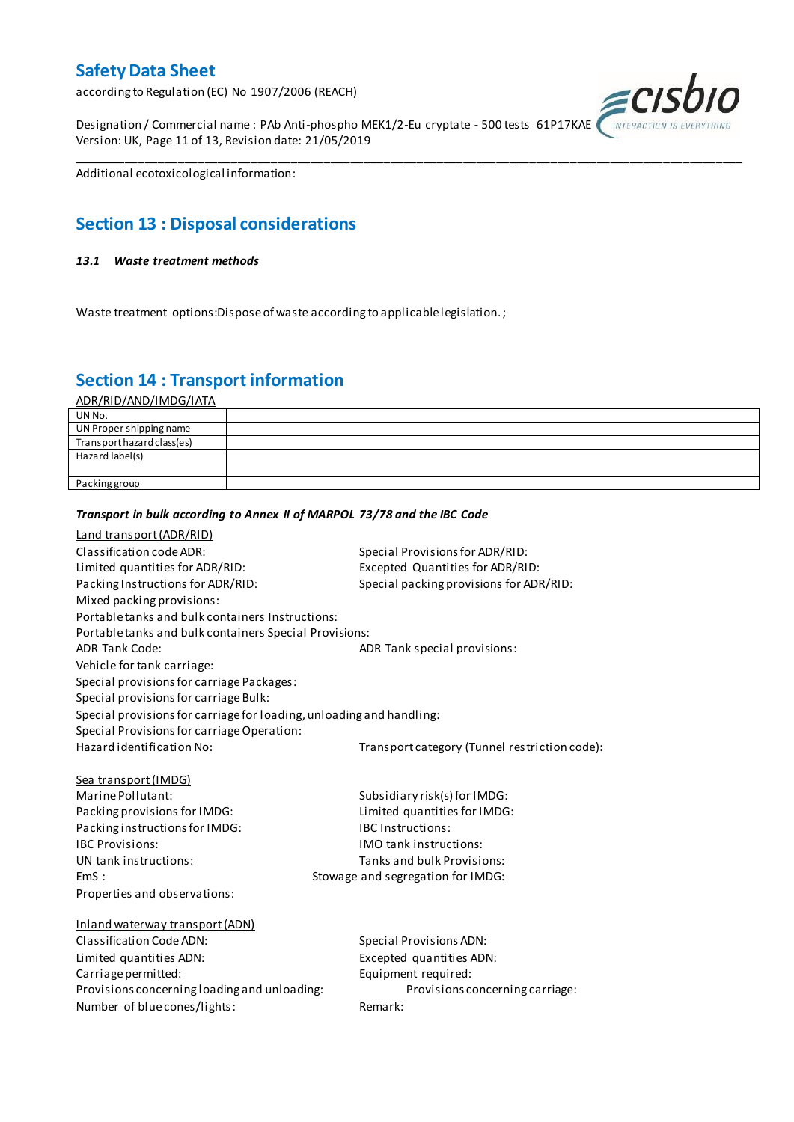according to Regulation (EC) No 1907/2006 (REACH)

Designation / Commercial name : PAb Anti-phospho MEK1/2-Eu cryptate - 500 tests 61P17KAE Version: UK, Page 11 of 13, Revision date: 21/05/2019



Additional ecotoxicological information:

## **Section 13 : Disposal considerations**

#### *13.1 Waste treatment methods*

Waste treatment options:Dispose of waste according to applicable legislation. ;

*Transport in bulk according to Annex II of MARPOL 73/78 and the IBC Code*

### **Section 14 : Transport information**

ADR/RID/AND/IMDG/IATA

| UN No.                     |  |
|----------------------------|--|
| UN Proper shipping name    |  |
| Transport hazard class(es) |  |
| Hazard label(s)            |  |
|                            |  |
| Packing group              |  |

\_\_\_\_\_\_\_\_\_\_\_\_\_\_\_\_\_\_\_\_\_\_\_\_\_\_\_\_\_\_\_\_\_\_\_\_\_\_\_\_\_\_\_\_\_\_\_\_\_\_\_\_\_\_\_\_\_\_\_\_\_\_\_\_\_\_\_\_\_\_\_\_\_\_\_\_\_\_\_\_\_\_\_\_\_\_\_\_\_\_\_\_\_\_\_\_\_\_\_\_\_

### Land transport (ADR/RID) Classification code ADR: Special Provisions for ADR/RID: Limited quantities for ADR/RID:<br>
Packing Instructions for ADR/RID: Special packing provisions for ADI Special packing provisions for ADR/RID: Mixed packing provisions: Portable tanks and bulk containers Instructions: Portable tanks and bulk containers Special Provisions: ADR Tank Code: ADR Tank special provisions: Vehicle for tank carriage: Special provisions for carriage Packages: Special provisions for carriage Bulk: Special provisions for carriage for loading, unloading and handling: Special Provisions for carriage Operation: Hazard identification No: Transport category (Tunnel restriction code): Sea transport (IMDG) Marine Pollutant: Subsidiary risk(s) for IMDG: Packing provisions for IMDG: Limited quantities for IMDG: Packing instructions for IMDG: IBC Instructions: IBC Provisions: IMO tank instructions: UN tank instructions: Tanks and bulk Provisions: EmS : Stowage and segregation for IMDG: Properties and observations: Inland waterway transport (ADN) Classification Code ADN: Special Provisions ADN: Limited quantities ADN: Excepted quantities ADN: Carriage permitted: Carriage permitted: Provisions concerning loading and unloading: Provisions concerning carriage: Number of blue cones/lights: Remark: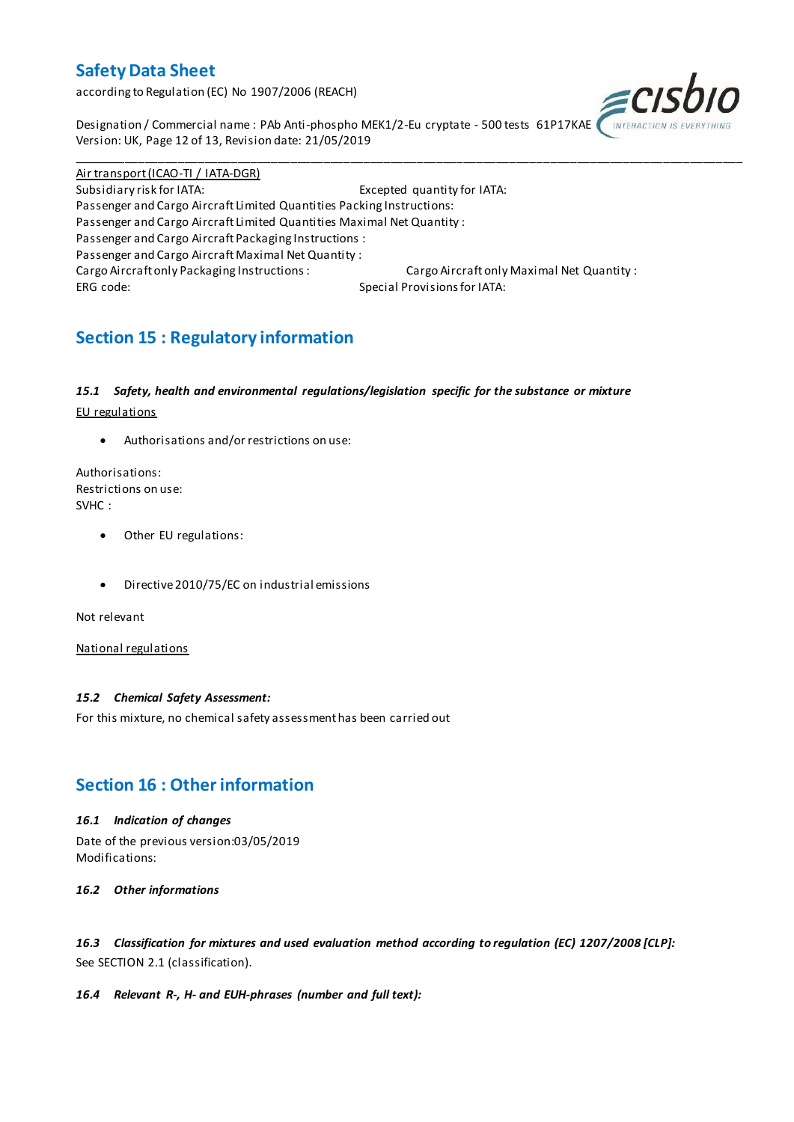according to Regulation (EC) No 1907/2006 (REACH)



Designation / Commercial name : PAb Anti-phospho MEK1/2-Eu cryptate - 500 tests 61P17KAE Version: UK, Page 12 of 13, Revision date: 21/05/2019

Air transport (ICAO-TI / IATA-DGR) Subsidiary risk for IATA: Excepted quantity for IATA: Passenger and Cargo Aircraft Limited Quantities Packing Instructions: Passenger and Cargo Aircraft Limited Quantities Maximal Net Quantity : Passenger and Cargo Aircraft Packaging Instructions : Passenger and Cargo Aircraft Maximal Net Quantity : Cargo Aircraft only Packaging Instructions : Cargo Aircraft only Maximal Net Quantity : ERG code: Special Provisions for IATA:

\_\_\_\_\_\_\_\_\_\_\_\_\_\_\_\_\_\_\_\_\_\_\_\_\_\_\_\_\_\_\_\_\_\_\_\_\_\_\_\_\_\_\_\_\_\_\_\_\_\_\_\_\_\_\_\_\_\_\_\_\_\_\_\_\_\_\_\_\_\_\_\_\_\_\_\_\_\_\_\_\_\_\_\_\_\_\_\_\_\_\_\_\_\_\_\_\_\_\_\_\_

## **Section 15 : Regulatory information**

#### *15.1 Safety, health and environmental regulations/legislation specific for the substance or mixture*

EU regulations

Authorisations and/or restrictions on use:

Authorisations: Restrictions on use: SVHC :

- Other EU regulations:
- Directive 2010/75/EC on industrial emissions

Not relevant

National regulations

#### *15.2 Chemical Safety Assessment:*

For this mixture, no chemical safety assessment has been carried out

### **Section 16 : Other information**

#### *16.1 Indication of changes*

Date of the previous version:03/05/2019 Modifications:

*16.2 Other informations*

*16.3 Classification for mixtures and used evaluation method according to regulation (EC) 1207/2008 [CLP]:* See SECTION 2.1 (classification).

#### *16.4 Relevant R-, H- and EUH-phrases (number and full text):*